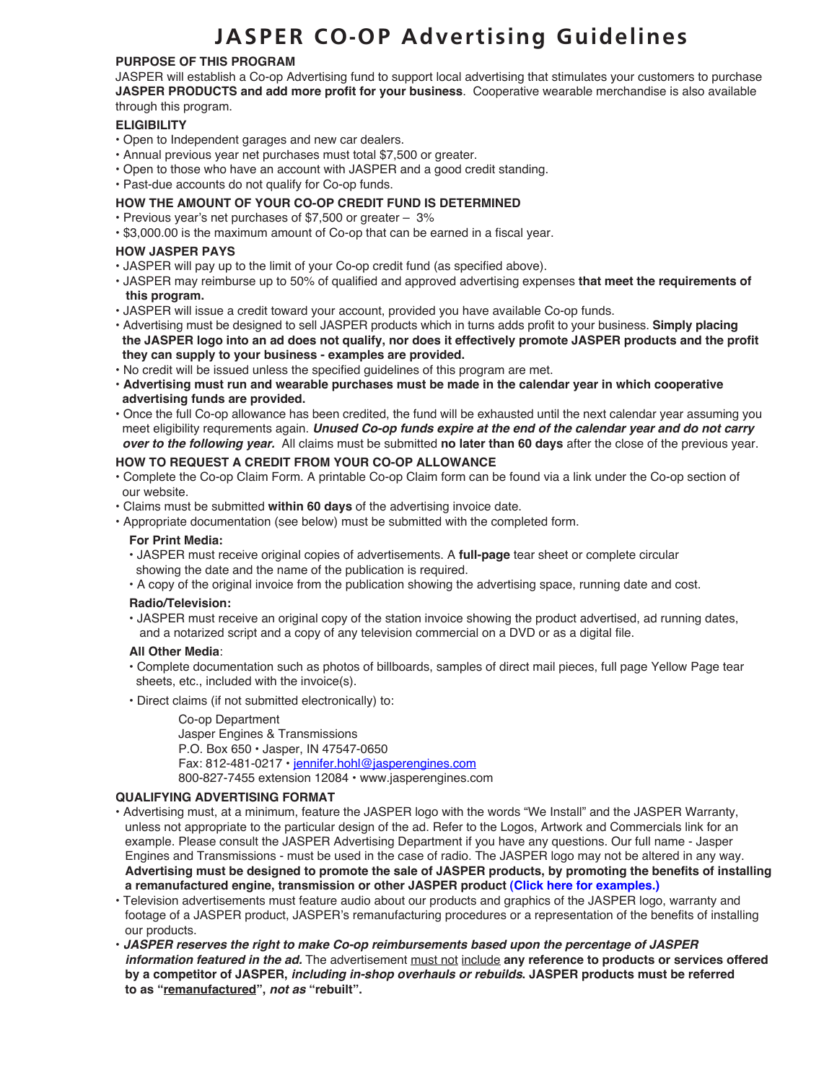# **JASPER CO-OP Advertising Guidelines**

## **PURPOSE OF THIS PROGRAM**

JASPER will establish a Co-op Advertising fund to support local advertising that stimulates your customers to purchase **JASPER PRODUCTS and add more profit for your business**. Cooperative wearable merchandise is also available through this program.

## **ELIGIBILITY**

- Open to Independent garages and new car dealers.
- Annual previous year net purchases must total \$7,500 or greater.
- Open to those who have an account with JASPER and a good credit standing.
- Past-due accounts do not qualify for Co-op funds.

## **HOW THE AMOUNT OF YOUR CO-OP CREDIT FUND IS DETERMINED**

- Previous year's net purchases of \$7,500 or greater 3%
- \$3,000.00 is the maximum amount of Co-op that can be earned in a fiscal year.

## **HOW JASPER PAYS**

- JASPER will pay up to the limit of your Co-op credit fund (as specified above).
- JASPER may reimburse up to 50% of qualified and approved advertising expenses **that meet the requirements of this program.**
- JASPER will issue a credit toward your account, provided you have available Co-op funds.
- Advertising must be designed to sell JASPER products which in turns adds profit to your business. **Simply placing the JASPER logo into an ad does not qualify, nor does it effectively promote JASPER products and the profit they can supply to your business - examples are provided.**
- No credit will be issued unless the specified guidelines of this program are met.
- **Advertising must run and wearable purchases must be made in the calendar year in which cooperative advertising funds are provided.**
- Once the full Co-op allowance has been credited, the fund will be exhausted until the next calendar year assuming you meet eligibility requrements again. *Unused Co-op funds expire at the end of the calendar year and do not carry over to the following year.* All claims must be submitted **no later than 60 days** after the close of the previous year.

## **HOW TO REQUEST A CREDIT FROM YOUR CO-OP ALLOWANCE**

- Complete the Co-op Claim Form. A printable Co-op Claim form can be found via a link under the Co-op section of our website.
- Claims must be submitted **within 60 days** of the advertising invoice date.
- Appropriate documentation (see below) must be submitted with the completed form.

#### **For Print Media:**

- JASPER must receive original copies of advertisements. A **full-page** tear sheet or complete circular
- showing the date and the name of the publication is required.
- A copy of the original invoice from the publication showing the advertising space, running date and cost.

## **Radio/Television:**

 • JASPER must receive an original copy of the station invoice showing the product advertised, ad running dates, and a notarized script and a copy of any television commercial on a DVD or as a digital file.

#### **All Other Media**:

- Complete documentation such as photos of billboards, samples of direct mail pieces, full page Yellow Page tear sheets, etc., included with the invoice(s).
- Direct claims (if not submitted electronically) to:

#### Co-op Department

 Jasper Engines & Transmissions P.O. Box 650 • Jasper, IN 47547-0650 Fax: 812-481-0217 • jennifer.hohl@jasperengines.com 800-827-7455 extension 12084 • www.jasperengines.com

#### **QUALIFYING ADVERTISING FORMAT**

- Advertising must, at a minimum, feature the JASPER logo with the words "We Install" and the JASPER Warranty, unless not appropriate to the particular design of the ad. Refer to the Logos, Artwork and Commercials link for an example. Please consult the JASPER Advertising Department if you have any questions. Our full name - Jasper Engines and Transmissions - must be used in the case of radio. The JASPER logo may not be altered in any way. **Advertising must be designed to promote the sale of JASPER products, by promoting the benefits of installing a remanufactured engine, transmission or other JASPER product (Click here for examples.)**
- Television advertisements must feature audio about our products and graphics of the JASPER logo, warranty and footage of a JASPER product, JASPER's remanufacturing procedures or a representation of the benefits of installing our products.
- *JASPER reserves the right to make Co-op reimbursements based upon the percentage of JASPER information featured in the ad.* The advertisement must not include **any reference to products or services offered by a competitor of JASPER,** *including in-shop overhauls or rebuilds***. JASPER products must be referred to as "remanufactured",** *not as* **"rebuilt".**